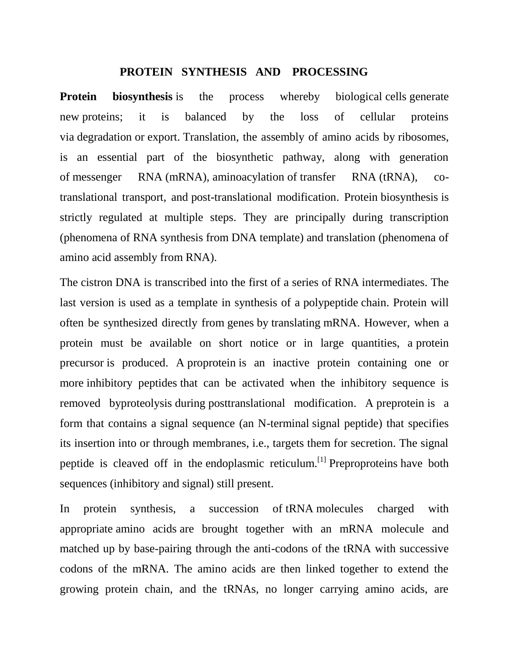## **PROTEIN SYNTHESIS AND PROCESSING**

**Protein** biosynthesis is the process whereby biological [cells](https://en.wikipedia.org/wiki/Cell_(biology)) generate new [proteins;](https://en.wikipedia.org/wiki/Protein) it is balanced by the loss of cellular proteins via [degradation](https://en.wikipedia.org/wiki/Proteolysis) or [export.](https://en.wikipedia.org/wiki/Protein_targeting) [Translation,](https://en.wikipedia.org/wiki/Translation_(biology)) the assembly of amino acids by [ribosomes,](https://en.wikipedia.org/wiki/Ribosome) is an essential part of the biosynthetic pathway, along with generation of [messenger RNA](https://en.wikipedia.org/wiki/Messenger_RNA) (mRNA), [aminoacylation](https://en.wikipedia.org/wiki/Transfer_RNA#Aminoacylation) of [transfer RNA](https://en.wikipedia.org/wiki/TRNA) (tRNA), cotranslational transport, and [post-translational modification.](https://en.wikipedia.org/wiki/Posttranslational_modification) Protein [biosynthesis](https://en.wikipedia.org/wiki/Biosynthesis) is strictly regulated at multiple steps. They are principally during transcription (phenomena of RNA synthesis from DNA template) and translation (phenomena of amino acid assembly from RNA).

The [cistron](https://en.wikipedia.org/wiki/Cistron) DNA is transcribed into the first of a series of [RNA](https://en.wikipedia.org/wiki/RNA) intermediates. The last version is used as a template in synthesis of a [polypeptide](https://en.wikipedia.org/wiki/Polypeptide) chain. Protein will often be synthesized directly from [genes](https://en.wikipedia.org/wiki/Gene) by [translating](https://en.wikipedia.org/wiki/Translation_(genetics)) [mRNA.](https://en.wikipedia.org/wiki/MRNA) However, when a protein must be available on short notice or in large quantities, a [protein](https://en.wikipedia.org/wiki/Protein_precursor)  [precursor](https://en.wikipedia.org/wiki/Protein_precursor) is produced. A [proprotein](https://en.wikipedia.org/wiki/Proprotein) is an inactive protein containing one or more [inhibitory peptides](https://en.wikipedia.org/wiki/Inhibitory_peptide) that can be activated when the inhibitory sequence is removed b[yproteolysis](https://en.wikipedia.org/wiki/Proteolysis) during [posttranslational modification.](https://en.wikipedia.org/wiki/Posttranslational_modification) A [preprotein](https://en.wikipedia.org/wiki/Preprotein) is a form that contains a signal sequence (an N-terminal [signal peptide\)](https://en.wikipedia.org/wiki/Signal_peptide) that specifies its insertion into or through membranes, i.e., targets them for secretion. The signal peptide is cleaved off in the [endoplasmic reticulum.](https://en.wikipedia.org/wiki/Endoplasmic_reticulum)<sup>[\[1\]](https://en.wikipedia.org/wiki/Protein_biosynthesis#cite_note-cell-1)</sup> [Preproproteins](https://en.wikipedia.org/wiki/Preproprotein) have both sequences (inhibitory and signal) still present.

In protein synthesis, a succession of [tRNA](https://en.wikipedia.org/wiki/TRNA) molecules charged with appropriate [amino acids](https://en.wikipedia.org/wiki/Amino_acids) are brought together with an mRNA molecule and matched up by base-pairing through the anti-codons of the tRNA with successive codons of the mRNA. The amino acids are then linked together to extend the growing protein chain, and the tRNAs, no longer carrying amino acids, are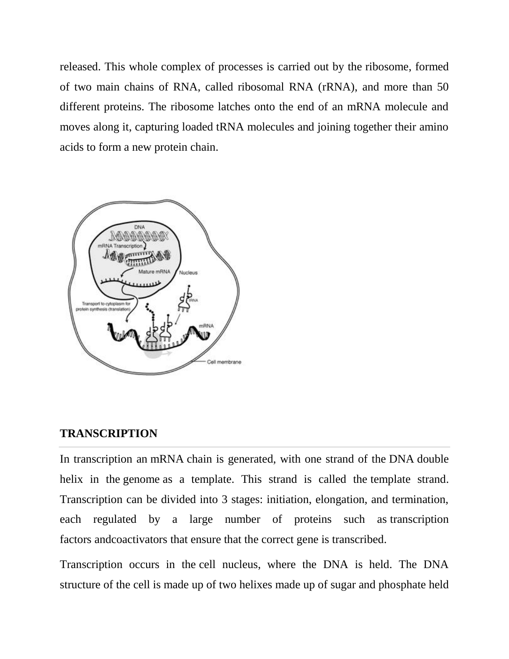released. This whole complex of processes is carried out by the [ribosome,](https://en.wikipedia.org/wiki/Ribosome) formed of two main chains of RNA, called ribosomal RNA [\(rRNA\)](https://en.wikipedia.org/wiki/Ribosomal_RNA), and more than 50 different proteins. The ribosome latches onto the end of an mRNA molecule and moves along it, capturing loaded tRNA molecules and joining together their amino acids to form a new protein chain.



## **TRANSCRIPTION**

In transcription an [mRNA](https://en.wikipedia.org/wiki/MRNA) chain is generated, with one strand of the [DNA](https://en.wikipedia.org/wiki/DNA) double helix in the [genome](https://en.wikipedia.org/wiki/Genome) as a template. This strand is called the [template strand.](https://en.wikipedia.org/wiki/Template_strand) Transcription can be divided into 3 stages: initiation, elongation, and termination, each regulated by a large number of proteins such as [transcription](https://en.wikipedia.org/wiki/Transcription_factor)  [factors](https://en.wikipedia.org/wiki/Transcription_factor) an[dcoactivators](https://en.wikipedia.org/wiki/Coactivator) that ensure that the correct gene is transcribed.

Transcription occurs in the [cell nucleus,](https://en.wikipedia.org/wiki/Cell_nucleus) where the DNA is held. The DNA structure of the cell is made up of two helixes made up of sugar and phosphate held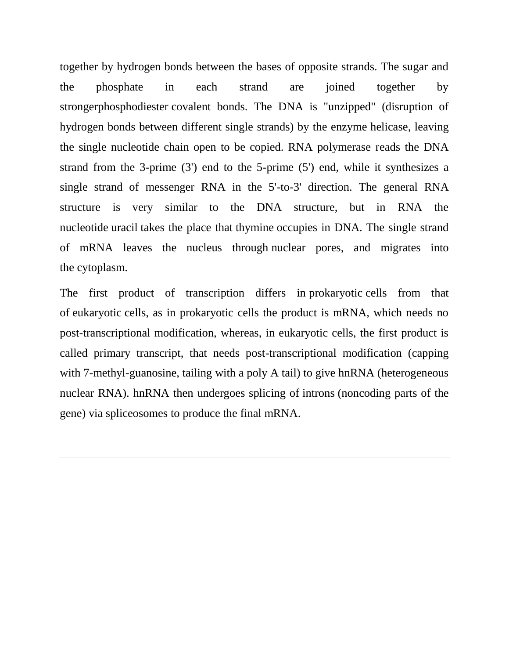together by hydrogen bonds between the bases of opposite strands. The sugar and the phosphate in each strand are joined together by stronge[rphosphodiester](https://en.wikipedia.org/wiki/Phosphodiester) covalent bonds. The DNA is "unzipped" (disruption of hydrogen bonds between different single strands) by the enzyme [helicase,](https://en.wikipedia.org/wiki/Helicase) leaving the single nucleotide chain open to be copied. RNA polymerase reads the DNA strand from the 3-prime (3') end to the 5-prime (5') end, while it synthesizes a single strand of messenger RNA in the 5'-to-3' direction. The general RNA structure is very similar to the DNA structure, but in RNA the nucleotide [uracil](https://en.wikipedia.org/wiki/Uracil) takes the place that [thymine](https://en.wikipedia.org/wiki/Thymine) occupies in DNA. The single strand of mRNA leaves the nucleus through [nuclear pores,](https://en.wikipedia.org/wiki/Nuclear_pore) and migrates into the [cytoplasm.](https://en.wikipedia.org/wiki/Cytoplasm)

The first product of transcription differs in [prokaryotic](https://en.wikipedia.org/wiki/Prokaryote) cells from that of [eukaryotic](https://en.wikipedia.org/wiki/Eukaryote) cells, as in prokaryotic cells the product is mRNA, which needs no post-transcriptional modification, whereas, in eukaryotic cells, the first product is called primary transcript, that needs post-transcriptional modification (capping with 7-methyl-guanosine, tailing with a poly A tail) to give hnRNA (heterogeneous nuclear RNA). hnRNA then undergoes splicing of [introns](https://en.wikipedia.org/wiki/Intron) (noncoding parts of the gene) via [spliceosomes](https://en.wikipedia.org/wiki/Spliceosome) to produce the final mRNA.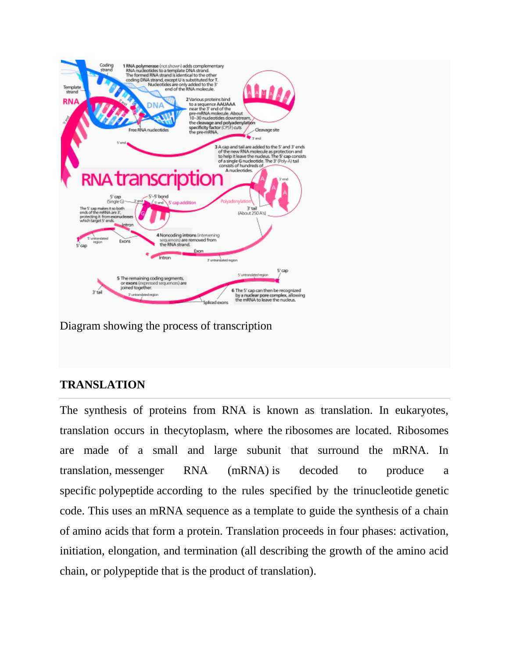

Diagram showing the process of transcription

## **TRANSLATION**

The synthesis of proteins from RNA is known as translation. In eukaryotes, translation occurs in th[ecytoplasm,](https://en.wikipedia.org/wiki/Cytoplasm) where the [ribosomes](https://en.wikipedia.org/wiki/Ribosome) are located. Ribosomes are made of a small and large subunit that surround the mRNA. In translation, [messenger RNA \(mRNA\)](https://en.wikipedia.org/wiki/MRNA) is decoded to produce a specific [polypeptide](https://en.wikipedia.org/wiki/Polypeptide) according to the rules specified by the trinucleotide [genetic](https://en.wikipedia.org/wiki/Genetic_code)  [code.](https://en.wikipedia.org/wiki/Genetic_code) This uses an mRNA sequence as a template to guide the synthesis of a chain of [amino acids](https://en.wikipedia.org/wiki/Amino_acid) that form a protein. Translation proceeds in four phases: activation, initiation, elongation, and termination (all describing the growth of the amino acid chain, or [polypeptide](https://en.wikipedia.org/wiki/Polypeptide) that is the product of translation).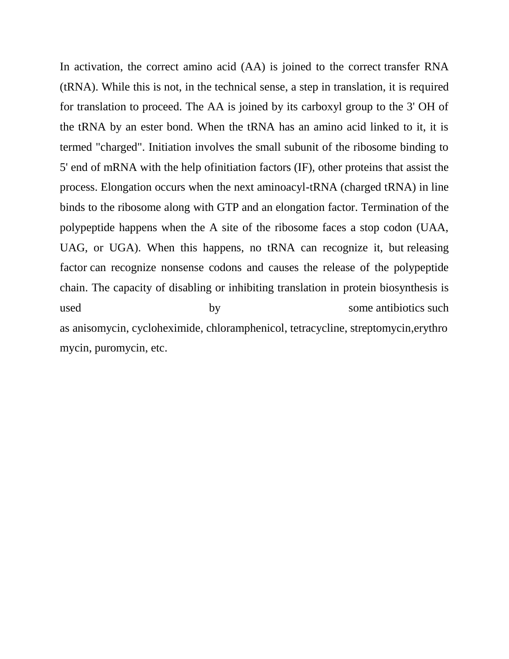In activation, the correct amino acid (AA) is joined to the correct [transfer RNA](https://en.wikipedia.org/wiki/TRNA)  [\(tRNA\).](https://en.wikipedia.org/wiki/TRNA) While this is not, in the technical sense, a step in translation, it is required for translation to proceed. The AA is joined by its carboxyl group to the 3' OH of the tRNA by an ester bond. When the tRNA has an amino acid linked to it, it is termed "charged". Initiation involves the small subunit of the ribosome binding to 5' end of mRNA with the help o[finitiation factors](https://en.wikipedia.org/wiki/Initiation_factors) (IF), other proteins that assist the process. Elongation occurs when the next aminoacyl-tRNA (charged tRNA) in line binds to the ribosome along with [GTP](https://en.wikipedia.org/wiki/Guanosine_triphosphate) and an [elongation factor.](https://en.wikipedia.org/wiki/Elongation_factor) Termination of the polypeptide happens when the A site of the ribosome faces a stop codon (UAA, UAG, or UGA). When this happens, no tRNA can recognize it, but [releasing](https://en.wikipedia.org/wiki/Release_factor)  [factor](https://en.wikipedia.org/wiki/Release_factor) can recognize nonsense codons and causes the release of the polypeptide chain. The capacity of disabling or inhibiting translation in protein biosynthesis is used by by some [antibiotics](https://en.wikipedia.org/wiki/Antibiotic) such as [anisomycin,](https://en.wikipedia.org/wiki/Anisomycin) [cycloheximide,](https://en.wikipedia.org/wiki/Cycloheximide) [chloramphenicol,](https://en.wikipedia.org/wiki/Chloramphenicol) [tetracycline,](https://en.wikipedia.org/wiki/Tetracycline) [streptomycin,](https://en.wikipedia.org/wiki/Streptomycin)[erythro](https://en.wikipedia.org/wiki/Erythromycin) [mycin,](https://en.wikipedia.org/wiki/Erythromycin) [puromycin,](https://en.wikipedia.org/wiki/Puromycin) etc.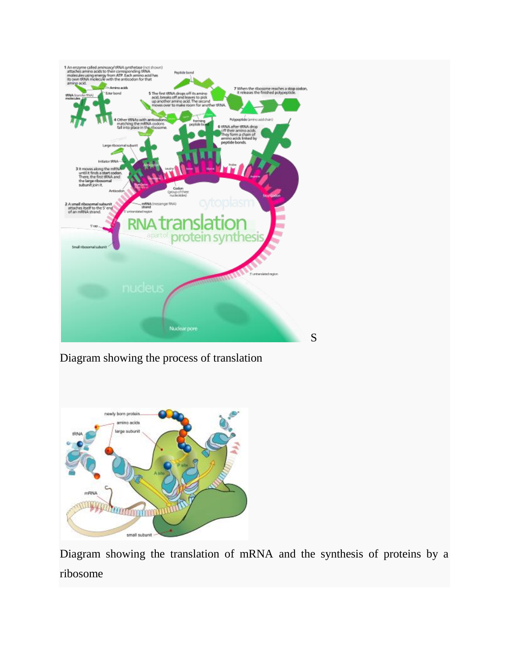

Diagram showing the process of translation



Diagram showing the translation of mRNA and the synthesis of proteins by a ribosome